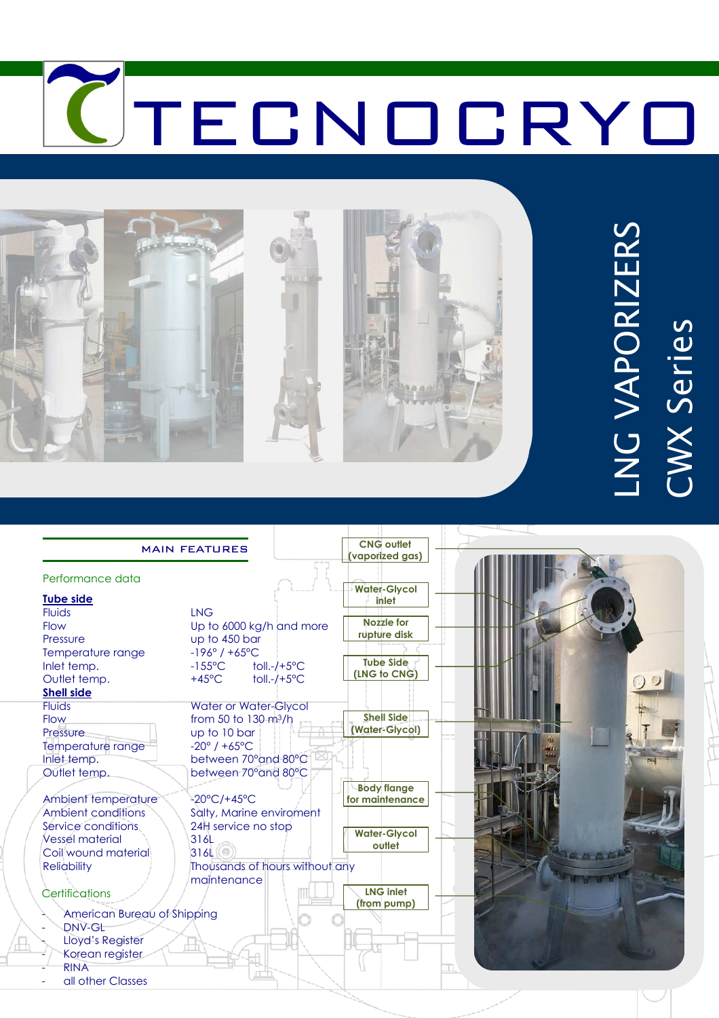



# LNG VAPORIZERS